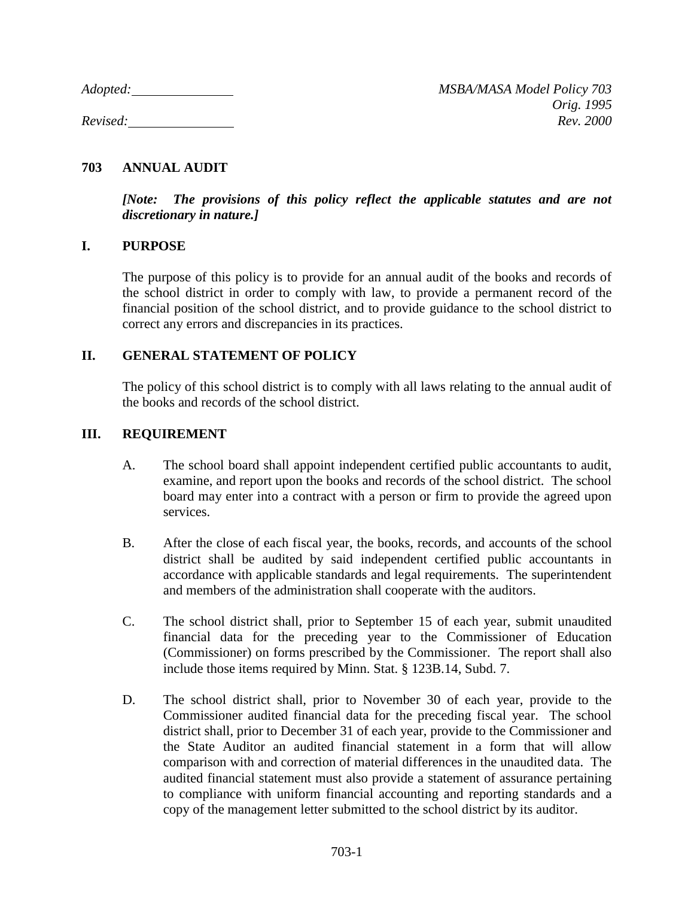## **703 ANNUAL AUDIT**

*[Note: The provisions of this policy reflect the applicable statutes and are not discretionary in nature.]*

## **I. PURPOSE**

The purpose of this policy is to provide for an annual audit of the books and records of the school district in order to comply with law, to provide a permanent record of the financial position of the school district, and to provide guidance to the school district to correct any errors and discrepancies in its practices.

## **II. GENERAL STATEMENT OF POLICY**

The policy of this school district is to comply with all laws relating to the annual audit of the books and records of the school district.

## **III. REQUIREMENT**

- A. The school board shall appoint independent certified public accountants to audit, examine, and report upon the books and records of the school district. The school board may enter into a contract with a person or firm to provide the agreed upon services.
- B. After the close of each fiscal year, the books, records, and accounts of the school district shall be audited by said independent certified public accountants in accordance with applicable standards and legal requirements. The superintendent and members of the administration shall cooperate with the auditors.
- C. The school district shall, prior to September 15 of each year, submit unaudited financial data for the preceding year to the Commissioner of Education (Commissioner) on forms prescribed by the Commissioner. The report shall also include those items required by Minn. Stat. § 123B.14, Subd. 7.
- D. The school district shall, prior to November 30 of each year, provide to the Commissioner audited financial data for the preceding fiscal year. The school district shall, prior to December 31 of each year, provide to the Commissioner and the State Auditor an audited financial statement in a form that will allow comparison with and correction of material differences in the unaudited data. The audited financial statement must also provide a statement of assurance pertaining to compliance with uniform financial accounting and reporting standards and a copy of the management letter submitted to the school district by its auditor.